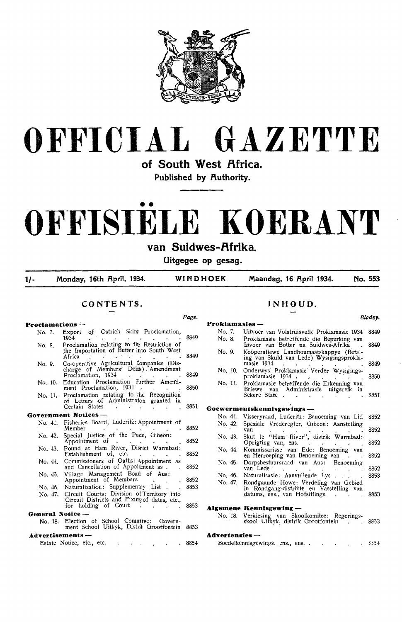



of South West Africa.

Published by **Authority**.

# •• **OFFISIELE KOERANT**

**van Suidwes-f\frika.** 

**Uitgegee op gesag.** 

*Page.* 

**1/- Monday, 16th f\pril, 1934. WINDHOEK Maandag, 16 f\pril 1934. No. 553** 

## **CONTENTS.**

#### **Proclamations** -

| No. 7.           | Export of Ostrich Skins Proclamation,<br>1934                                                                                    | 8849  |
|------------------|----------------------------------------------------------------------------------------------------------------------------------|-------|
| No. 8.           | Proclamation relating to the Restriction of<br>the Importation of Butter into South West<br>Africa<br><b>Contract Contract</b>   | 8849  |
| No. 9.           | Co-operative Agricultural Companies (Dis-<br>charge of Members' Delts). Amendment<br>Proclamation, 1934<br><b>College</b>        | 8849  |
|                  | No. 10. Education Proclamation Further Amend-<br>ment Proclamation, 1934                                                         | 8850  |
| No. 11.          | Proclamation relating to the Recognition<br>of Letters of Administraton granted in<br>Certain States<br><b>Contract Contract</b> | 8851  |
|                  | Government Notices —                                                                                                             |       |
| No. 41.          | Fisheries Board, Luderitz: Appointment of<br>Member                                                                              | 8852  |
| No. 42.          | Special Justice of the Pece, Gibeon:<br>Appointment of<br>$\mathbf{a}$ , and $\mathbf{a}$ , and $\mathbf{a}$                     | 8852  |
| No. 43.          | Pound at Ham River, Disrict Warmbad:<br>Establishment of, etc.<br><b>All Contracts</b>                                           | 8852  |
| No. 44.          | Commissioners of Oaths: Appointment as<br>and Cancellation of Appoirment as.<br>$\cdot$                                          | 8852  |
| No. 45.          | Village Management Boan of Aus:<br>Appointment of Members                                                                        | 8852  |
| No. 46.          | Naturalization: Supplementry List.                                                                                               | 8853  |
| No. 47.          | Circuit Courts: Division of Territory into<br>Circuit Districts and Fixing of dates, etc.,<br>for holding of Court               | 8853  |
| General Notice - |                                                                                                                                  |       |
| No. 18.          | Election of School Committee: Govern-<br>ment School Uitkyk, Distrit Grootfontein                                                | -8853 |
| Advertisements-  |                                                                                                                                  |       |
|                  | Estate Notice, etc., etc.<br>and the state of the state of                                                                       | 8854  |

### **JNHOUD.**

#### **Bladsy. Proklamasies** - No. 7. Uitvoer van Volstruisvelle Proklamasie 1934 8849<br>No. 8. Proklamasie betreffende die Benerking van No. 8. Proklamasie betreffende die Beperking van Invcier van Botter na Suidwes-Afrika 8849 No. 9. Kooperatiewe Landboumaatskappye · (Betaling van Skuld van Lede) Wysigingsproklamasie 1934 (a.e. a.e. a.e. 8849) No. 10. Onderwys Proklamasie Verder Wysigingsproklamasie 1934 .<br>Proklamasie betreffende die Erkenning van No. 11. Proklamasie betreffende die Erkenning van Briewe van Administrasie uitgerei'k in Sekere State . . . . . . 8851 **Goewermentskennisgewings** - No. 41. Visseryraad, Luderitz: Benoeming van Lid 8852 Spesiale Vrederegter, Gibeon: Aanstelling van 8852 No. 43. Skut te "Ham · River", distrik Warmbad: Oprigting van, ens. . . . . 8852 No. 44. Kommissarisse van Ede: Benoeming van en Herroeping van Benoeming van 8852 No. 45. Dorpsbestuursraad van Aus: Benoeming<br>van Lede en Australia 8852 No. 46. No. 47. Naturalisasie: Aanvullende Lys . . . . 8853 Rondgaande Howe: Verdeling van Gebied in Rondgang-distrikte en Vasstelling van<br>datums, ens., van Hofsittings 8853 **A.lgemene Kennisgewing** - No. 18. Verkiesing van Skoolkomitee: Regeringsskool Uitkyk, distrik Grootfontein . . 8853 **A.dvertensies** -

Boedelkennisgewings, ens., ens. . .  $-5554$  $\sim 10$  $\sim$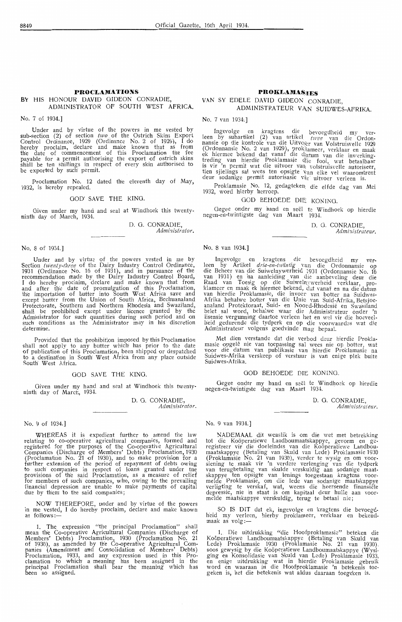#### **BY** HIS HONOUR DAVID GIDEON CONRADIE, ADMINISTRATOR OF SOUTH WEST AFRICA.

No. 7 of 1934.)

Under and by virtue of the powers in me vested by sub-section (2) of section two of the Ostrich Skins Export Control Ordinance, 1929 (Ordinance No. 2 of 1929), I do hereby proclaim, declare and make known that as from<br>the date of commencement of this Proclamation the fee payable for a permit authorising the export of ostrich skins shall be ten shillings in respect of every skin authorised to be exported by such permit.

Proclamation No. 12 dated the eleventh day of May, 1932, is hereby repealed.

#### GOD' SAVE THE KING.

Given under my hand and seal at Windhoek this twentyninth day of March, 1934.

> D. G. CONRADIE. Administrator.

#### No. 8 of 1934.)

Under and by virtue of the powers vested in me by Section *twenty-three* of the Dairy Industry Control Ordinance, 1931 (Ordinance No. 16 of 1931), and in pursuance of the recommendation made by the Dairy Industry Control Board, I do hereby proclaim, declare and make known that from and after We date of promulgation of this Proclamation, the importation of butter into South West Africa save and except butter from the Union of South Africa, Bechuanaland Protectorate, Southern and Northern Rhodesia and Swaziland, shall be prohibited except under licence granted by the Administrator for such' quantities during \_such period and on such conditions as the Administrator may in his discretion determine.

Provided that the prohibition imposed by this Proclamation shall not apply to any butter which has prior to the date of publication of this Proclamation, been shipped or despatched to a destination in South West Africa from any place outside South West Africa.

#### OOD SAVE THE KING.

Given under my hand and seal at Windhoek this twentyninth day of March, 1934.

> D. G. CONRADIE, Administrator.

#### No. 9 of 1934.J

WHEREAS it is expedient further to amend the law relating to co-operative agricultural companies, formed and registered for the purposes of the Co-operative Agricultural Companies (Discharge of Members' Debts) Proclamation, 1930 (Proclamation No. 21 of 1930), and to make provision for a<br>further extension of the period of repayment of debts owing to such' com'Panies in respect of loans granted under the provisions of the said Proclamation, as a measure of relief for members of such companies, who, owing to the prevailing financial depression are unable to make payments of capital due by them to the said companies;

NOW THEREFORE, under and by virtue of the powers in me vested, I do hereby proclaim, declare and make known<br>as follows:—

1. The expression "the principal Proclamation" shall mean the Co-operative Agricultural Companies (Discharge of Members' Debts) Proclamation, 1930 (Proclamation No. 21 of 1930), as amended by the Co-operative Agricultural Com-panies (Amendment and Consolidation of Members' Debts) Proclamation, 1933, and any expression used in this Proclamation to which a-meaning has been assigned in the principal Proclamation shall bear the meaning which has been so assigned.

#### **PROKLAMASTES**

#### VAN SY EDELE DAVID GIDEON CONRADIE, ADMINISTRATEUR VAN SUIDWES-AFRIKA.

No. 7 van 1934;]

Ingevolge en kragtens die bevoegdheid my ver- leen by subartikel (2) van artikel\_ *twee* van die Ordonnansie op die kontrole van die Uitvoser van Volstruisvelle 1929 (Ordonnansie No. 2 van 1929), proklameer, verklaar en maak ek hiermee bekend dat vanaf die d<sub>eatum</sub> van die inwerkingtreding van hierdie Proklamasie die fooi, wat betaalbaar is vir 'n permit wat die uitvoer van volstruisvelle autoriseer. tien sjielings sal wees ten opsigte van elke vel waaromtrent deur sodanige permit autorisasie v $\hat{w}_r$  uitvoer verleen is.

Proklamasie No. 12, gedagteken die elfde dag van Mei 1932, word h"ierby herroep.

### GOD BEHOEDE DIE KONING.

Gegee onder my hand en see! te Windhoek op hierdie negen-en-twintigste dag van Maart 1934.

> D. 0. CONRADIE, Admi:iistraieur.

#### No. 8 van 1934.)

lngevolge en kragtens die bevoegdheid my ver-<br>leen by Artikel *drie-en-twintig* van die Ordonnansie op die Beheer van die Suiwelnywerheid 1931 (Ordonnansie No. 16<br>van 1931) en 'na aanleiding van clie aanbeveling deur die Raad van Toesig op die Suiwelnywerheid verklaar, proklameer en maak ek hrermee bekend, dat vanaf en na die datum van hierdie Proklamasie, die invoe~- van batter na Suidwes-Afrika behalwe hotter van die Unie \'an Suid-Afrika, Betsjoeanaland Protektoraat, Suid- en Noot d-Rhodesie en Swasiland belet sal word, behalwe waar die Administrateur onder 'n lisensie vergunning daartoe verleen het en wel vir die hoeveelheid gedurende die tydperk en op die voorwaardes wat die<br>Administrateur volgens goedvinde mag bepaal.

Met dien verstande dat die verbocl deur hierdie Proklamasie opgelê nie van toepassing sal wees nie op botter, wat<br>voor die datum van publikasie van hierdie Proklamasie na<br>Suidwes-Afrika verskeep of verstuur is van enige plek buite Suidwes-Afrika.

#### GOD BEHOEDE DIE KONING.

Gegee onder my hand en see! te Windhoek op hierdie negen-en-twintigste dag van Maart 1934.

D. 0. CONRADIE,

Administrateur.

No. 9 van 1934.]

NADEMAAL dit wenslik is om die wet met betrekking tot die Kooperatiewe Landboumaatskappye, gevorm en geregistreer vir die doeleindes van die Koöperatiewe Landboumaatskappye ( Betaling van Skuld van Lede) Proklamasie 1930 (Proklamasie No. 21 van 1930), verder te wysig en om Yoorsiening te maak vir 'n verdere verlenging van die tydperk<br>van terugbetaling van skulde verskuldig aan sodanige maatskappye ten opsigte van lenings toegestaan kragtens voor-<br>melde Proklamasie, om die lede van sodanige maatskappye verligting te verskaf, wat, weens die heersende finansiele depressie, nie in staat is om kapitaal deur hulle aan voor- melde maatskappye verskuldig, terug te betaal nie;

SO IS DIT dat ek, ingevolge en kragtens die bevoegdh'eid my verleen, hierby proklameer, ve<del>r</del>klaar en bekend-<br>maak as volg:—

1. Die uitdrukking "die Hoofproklamasie" beteken die Koöperatiewe Landboumaatskappye (Betaling van Skuld van<br>Lede) Proklamasie 1930 (Proklamasie No. 21 van 1930).<br>soos gewysig\_by\_die\_Koöperatiewe\_Landboumaatskappye (Wysiging en Konsolidasie van Skuld van Lede) Proklamasie 1933, en enige uitdrukking wat in hierdie Proklamasie gebruik word en waaraan in die Hoofproklamasie 'n betekenis toegeken is, het die betekenis wat aldus daaraan toegeken is.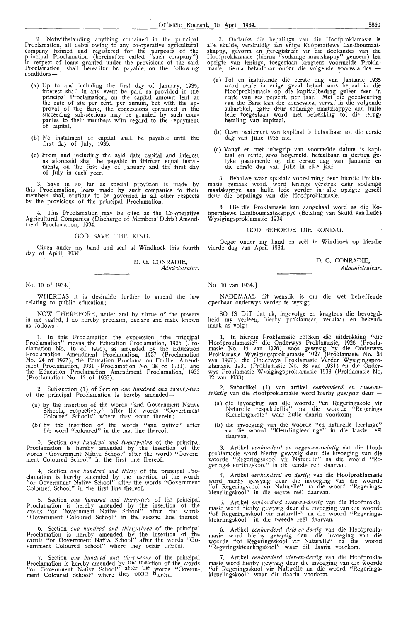2. Notwithstanding anything contained in the principal Proclamation, all debts owing to any co-operative agricultural company formed and registered for the purposes of the principal Proclamation (hereinafter called "such company") in respect of loans granted under the provisions of the said Proclamation, shall hereafter be payable on the following conditions-

- ( a) Up to and including the first day of January, 1935, interest shall in any event *be* paid as provided in tne principal Proclamation, on the capital amount lent at the rate of six per cent. per annum, but with the approval of the Bank, the concessions contained . in the succeeding sub-sections may be granted by such com-<br>panies to their members with regard to the repayment of capital.
- (b) No instalment of capital shall be payable until the first day of July, 1935.
- (c) From and including the said date capital and interest<br>as aforesaid shall be payable in thirteen equal instalments, on the first day of January and the first day of July in each year.

3. Save in so far as special provision is made by this Proclamation, loans made by such companies to their members shall continue to be governed in all other respects by the provisions of the principal Proclamation.

4. This Proclamation may be cited as the Co-operative Agricultural Companies (Discharge of Members' Debts) Amendment Proclamation, 1934.

#### GOD SAVE THE KING.

Given under my hand and seal at Windhoek this fourth day of April, 1934.

> D. G. CONRADIE, *Administrator.*

#### No. 10 of 1934.]

WHEREAS it is desirable further *to* amend the law relating to public education;

NOW THEREFORE, under and by virtue of the powers in me vested, I do hereby proclaim, declare and make known<br>as follows:—

**1. In** this Proclamation the expression "the **principal**  Proclamation" means the Education Proclamation, 1926 (Pro-clamation No. 16 of 1926 ), as amended by the Education Proclamation Amendment Proclamation, 1927 (Proclamation No. 24 of 1927), the Education Proclamation Further Amendment Proclamation, 1931 (Proclamation No. 38 of 1931), and the Education Proclamation Amendment Proclamation; 1933 (Proclamation No. 12 of 1933).

2. Sub-section (1) of Section one hundred and twenty-two of the principal Proclamation is hereby amended-

- (a) by the insertion of the words "and Government Native Schools, respectively" after the words "Government Coloured Schools" where they occur therein;
- (b) by the insertion of the words "and native" after the word "coloured" in the last line thereof.

3. Section *one hundred and twenty-nine* of the principal Proclamation is hereby amended by the insertion of the words "Government Native School" after the words "Oover'nment Coloured School" in the first line thereof.

4. Section *one hundred and* thirty of the principal Proclamation is hereby amended by the insertion of the words "or Government Native School" after the words "Government Coloured School" in the first line thereof.

5. Section *one hundred and thirty-two* of the principal Proclamation is hereby amended by the insertion of the \\'ords ''or Government Native School" after the words "Government Coloured School" in the second line thereof.

6. Section one hundred and thirty-three of the principal Proclamation is hereby amended by the insertion of the words "or Government Native School" after the words "Government Coloured School" where they occur therein.

7. Section one hundred and thirty-four of the principal Proclamation is hereby amended by  $\frac{f_{\text{IR}}}{f_{\text{IR}}}$  instration of the words "or Government Native School" after the words "Government Coloured School" where they occur therein.

2. Ondanks die bepalings van die Hoofproklamasie is alle skulde, verskuldig aan enige Koöperatiewe Landboumaatskappy, gevorm en geregistreer vir die doeleindes van die Hoofproklarnasie (hierna "sodanige maatskappy" genoem) **ten**  opsigte van l•enings, toegestaan kragtens voormelde Proklamasie, hierna betaalbaar onder die volgende voorwaardes -

- (a) Tot en insluitende die eerste dag van Januarie 1935 word rente in enige geval betaal soos bepaal in die Hoofproklamasie op die kapitaalbedrag geleen teen 'n rente van ses persent. per jaar. Met die goedkeuring<br>van die Bank kan die konsessies, vervat in die volgende subartikel, egter deur sodanige maatskappye aan hulle lede toegestaan word met betrekking tot die terugbetaling van • kapitaal.
- (b) Geen paaiement van kapitaal is betaalbaar tot die eerste dag van Julie 1935 nie.
- (c) Vanaf en met inbegrip van voormelde datum is kapitaal en rente, soos bogemeld, betaalbaar. in dertien gelyke paaiemente op die eerste dag van Januarie **en** die eerste dag van Julie in elke jaar.

3. Behalwe waar spesiale voorsiening deur hierdie Proklamasie gemaak word, word lenings verstrek deur sodanige maatskappye aan hulle lede verder in alle opsigte gereël deur die bepalings van die Hoofproklamasie.

4. Hierdie Proklamasie kan aangehaal word as die **Ko**öperatiewe Landboumaatskappye (Betaling van Skuld van Lede) Wysigingsproklamasie 1934.

#### GOD BEHOEDE DIE KONING.

Gegee onder my hand en seël te Windhoek op hierdie rierde dag van April 1934.

> D. 0. CONRADIE, *Administrate.ur.*

No. 10 van 1934.]

NADEMAAL dit wenslik is om die wet betreffende openbaar onderwys verder te wysig;

SO IS DIT dat ek, ingevolge en kragtens die bevoegdheid my verleen, hierby proklameer, verklaar en bekend-<br>maak as volg:—

1. In hierdie Proklamasie beteken die uitdrukking "die Hoofproklamasie" die Onderwys Proklamasie, 1926 (Proklamasie No. 16 van 1926), soos gewysig by die Onderwys Proklamasie Wysigingsproklamasie 1927 (Proklamasie No. 24<br>van 1927), die Onderwys Proklamasie Verder Wysigingsproklamasie 1931 (Proklamasie No. 38 van 1931) en die Onder• wys Proklamasie Wysigingsproklamasie 1933 (Proklamasie No.  $12$  van 1933).

2. Subartikel (1) van artikel eenhonderd en twee-entwintig van die Hoofproklamasie word hierby gewysig deur -

- (a) die invoeging van die woorde "en Regeringskole vir Naturelle respektieflik" na die woorde "Regerings Kleurlingskole" waar hulle daarin voorkom; •
- (b) die invoeging van die woorde "en naturelle leerlinge" na die woord "Kleurlingleerlinge" in die laaste reel daarvan.

Artikel eenhonderd en negen-en-twintig van die Hoofproklamasie word hierby gewysig deur die invoeging van die woorde "Regeringsskool vir Naturelle" na die woord "Regeringskleurlingskool" in die eerste reël daarvan.

4. Artikel eenhonderd en dertig van die Hoofproklamasie word hierby gewysig deur die invoeging van die woorde "of Regeringskool vir Naturelle" na die woord - "Regeringskleurlingskool" in die eerste reel daarvan.

5. Artikel eenhonderd twee-en-dertig van die Hoofproklamasie word hierby gewysig deur die invoeging van die woorde "of Regeringsskool vir naturelle" na die woord "Regeringskleurlingskool" in die tweede reel daarvan.

6. Artikel eenhonderd drie-en-dertig van die Hoofproklamasie word hierby gewysig deur die invoeging van die woorde "of Regeringsskool vir Naturelle" na . die woord "Regeringskleurlingskool'· waar dit daarin voorkom.

7. Artikel eenhonderd vier-en-dertig van die Hoofproklamasie word hierby gewysig deur die invoeging van die woorde "of Regeringsskool vir Naturelle na die woord "Regeringskleurlingskool'' waar dit daarin voorkom.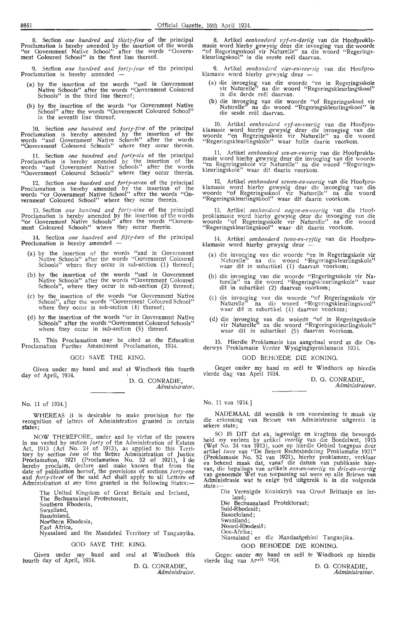Section *one hundred and thirty-five* of the principal Proclamation is hereby amended by the insertion of the words "or Government Native School" after the words "Government Coloured School" in the first line thereof.

9. Section *one hwzdred and forty-four* of the principal Proclamation is hereby amended -

- (a) by the insertion of the words "and in Government Native Schools" after the words "Government Coloured Schools" in the third line thereof;
- (b) by the insertion of the words "or Government Native School" after the words "Government Coloured School" in the seventh line thereof.

10. Section one hundred and forty-five of the principal Proclamation is her-eby amended by the insertion of the words "and Government Native Schools" after the words "Government Coloured Schools" where they occur therein.

11. Section one hundred and forty-six of the principal Proclamation is hereby amended by the insertion of the words "and Government Native Schools" after the words "Government Coloured Schools" where they occur therein.

12. Section *one hundred and forty-seven* of the principal Proclamation is hereby amended by the insertion of the words "or Government Native School" after the words "Go• vernment Coloured School" where they occur therein.

13. Section *one hundred and forty-nine* of the principal Proclamation is hereby amended by the insertion of the words "or Government Native Schools" after the words "Government Co1oured Schools" where they occur therein.

**14.** Section *one hundred and fifty-two* of the principal **Proclamation** is hereby amended

- (a) by the insertion of the words "and in Government Native Schools" after the words "Government Coloured Schools" where they occur in sub-section (1) thereof;
- (b) by the insertion of the words "and in Government Native Schools" after the words "Government Coloured Schools", where they occur in sub-section (2) thereof;
- (c) by the insertion of the words "or Government Native School", after the words "Government Coloured School" where they occur in sub-section  $(4)$  thereof;
- (d) by the insertion of the words "or in Government Native Schools" after the words "Government Coloured Schools" where they occur in sub-section (5) thereof.

15. This Proclamation may be cited as the Education Proclamation Further Amendment Proclamation, 1934.

GOD SAVE THE KING.

Given under my hand and seal at Windhoek this fourth day of April, 1934.

D. G. CONRADIE, *Admi.'listrator.* 

No. 11 of 1934.]

WHEREAS it is desirable to make provision for the recognition of letters of Administration granted in certain states;

NOW THEREFORE, under and by virtue of the powers in me vested by section *forty* of the Administration of Estates Act, 1913 (Act No. 24 of 1913), as applied to this Territory by section *two* of the Better Administration of Justice Proclamation, 1921 (Proclamation No. 52 of 1921), I do hereby proclaim, declare and make known that from the date of publication hereof, the provisions of sections *forty-one* and *forty-three* of the said Act shall apply to all Letters of Administration at any time granted in the following States:-

The United Kingdom of Great Britain and Ireland, The Bechuanaland Protectorate, Southern Rhodesia. Swaziland, Basutoland, Northern Rhodesia, East Africa, Nyasaland and the Mandated Territory of Tanganyika. GOD SAVE THE KING.

Given under my hand and seal at Windhoek this fourth day of April, 1934.

D. G. CONRADIE *Adml:zistraior.* 

8. Artikel *eenlwnderd vyf-en-dertig* van die Hoofproklamasie word hierby gewysig deur die invoeging van die woorde "of Regeringsskool vir Naturelle" na die woord "Regeringskleurlingskool" in die eerste reel daarvan.

9. Artikel *eenhonderd vier-en-veertig* van die Hoofproklamasie word hierby gewysig deur -

- (a) die invoeging van die woorde "en in Regeringssko!e vir Naturelle" na die woord "Regeringskleurlingskool"<br>in die derde reël daarvan.
- (b) die invoeging van die woorde "of Regeringsskool vir Naturelle" na die woord "Regeringskleurlingskool" in die sesde reël daarvan.

10. Artikel eenhonderd vyf-en-veertig van die Hoofproklamasie word hierby gewysig deur die invoeging van die woorde "en Regeringsskole vir Naturelle" na die woord "Regeringskleurlingsko!e" waar hulle daarin voorkom.

11. Artikel *eenhonderd ses-en-veertig* van die Hoofproklamasie word hierby gewysig deur die invoeging van die woorde "en Regeringsskole vir Naturelle" na die woord "Regeringskleurlingskole" waar dit daarin voorkom.

12. Artikel eenhonderd sewen-en-veertig van die Hoofproklamasie word hierby gewysig deur die invoeging van die woorde "of Regeringsskool vir Naturelle" na die woord "Regeringskleurlingskool" waar dit . daarin voorkom.

13. Artikel eenlionderd negen-en-veertig van die Hoofproklamasie word hierby gewysig deur die invoeging van die woorde "of Regeringsskole vir Naturelle" na die woord "Regeringskleurlingskool" waar dit daarin voorkom.

14. Artikel *eenhonderd twee-en-vyftig* van die Hoofproklamasie word hierby gewysig deur

- (a) die invoeging van die woorde "en in Regeringskole vir Naturelle" na die woord "Regeringskleurlingskole" waar dit in subartikel (1) daarvan voorkom;
- (b) die invoeging van die woorde "Regeringsskole vir Naturelle" na die woord "Regeringskleurlingskole" waar dit in subartikel (2) daarvan voorkom;
- (c) die invocging van die woorde "of Regeringsskole vir Naturelle<sup>7</sup> na die woord "Regeringskleurlingskool"<br>waar dit in subartikel (4) daarvan voorkom;
- (d) die invoeging van die woorde "of in Regeringsskole vir Naturelle" na die woord "Regeringskleurlingskole"<br>waar dit in subartikel (5) daarvan voorkom.

15. Hierdie Proklamasie kan aangehaal word as die Onderwys Proklamasie Verder Wysigingsproklamasie 1934

#### GOD BEHOEDE DIE KONING.

Oegee onder my hand en see! te Windhoek op hierdie vierde dag van April 1934.

D. G. CONRADIE, *Administrateur* 

#### No. 11 van 1934.]

NADEMAAL dit wenslik is om voorsiening te maak vir die erkenning van Briew'e van Administrasie uitgereik in sekere state;

SO IS DIT dat ek, ingevolge en kragtens die bevoegdheid my verleen by artikel *veerlig* van die Boedelwet, 1913<br>(Wet No. 24 van 1913), soos op hierdie Gebied toegepas deur<br>artikel *twee* van "De Betere Rechtsbedeling Proklamatie 1921" (Proklamasie No. 52 van 1921), hierby proklameer, verklaar en bekend maak dat, vanaf die datum van publikasie hiervan, die bepalings van artikels een-en-veertig en *drie-en-veertig* van g,enoemde Wet van toepassing sal wees op alle Briewe van Administrasie w'at te enige tyd uitgereik is in die volgende state:-

Die Verenigde Koninkryk van Groot Brittanje en ler-

land; Die Bechuanaland Protektoraat;

- Suid-Rhodesie; Basoetoland Swaziland;
- Noord-Rhodesie;

Oos-Afrika;

Niassaland en die Mandaatgebied Tanganjika. GOD BEHOEDE DIE KONINO.

Gegee onder my hand en seël te Windhoek op hierdie vierde dag van April 1934.

D. G. CONRADIE, *Administrateur,*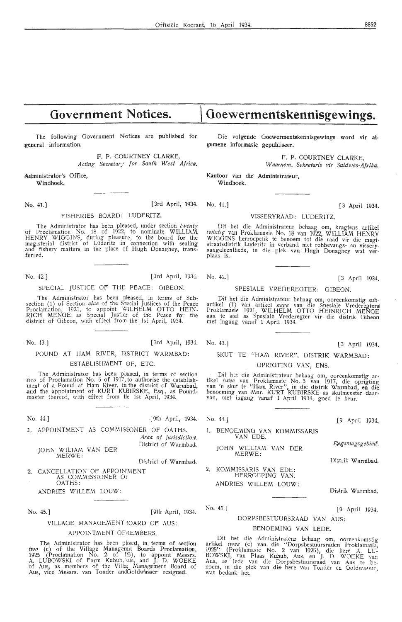## **Government Notices.**

The following Government Notices are published for general information.

> F. P. COURTNEY CLARKE, *Acting Secretary for South West Africa.*

,Aqministrator's Office, **Windhoek.** 

No. 41.] [3rd April, 1934. No. 41.] (3 April 1934.

#### FISHERIES BOARD: LUDERITZ.

The Administrator has been pleased, under section *twenty* vf Proclamation No. 18 of 1922, to nominate WILLIAM HENRY WIGGINS, during pieasure, to the board for the magisterial district of Lüderitz in connection with sealing and fishery matters in the place of Hugh Donaghey, transferred.

No. 42.] [ 3rd April, 1934. No. 42.] [3 April 1934.

#### SPECIAL JUSTICE OF THE PEACE: GIBEON.

The Administrator has been pleased, in terms of Subsection (1) of Section *nine* of the Special Justices of the Peace Proclamation, 1921, to appoint WILHELM OTTO HEIN-RICH MENGE as Special Justior of the Peace for the district of Gibeon, with effect from the 1st April, 1934.

No. 43.] [3rd April, 1934. No. 43.] (3 April 1934.

#### POUND AT HAM RIVER, DISTRICT WARMBAD: ESTABLISHMENT OF, ETC.

The Administrator has been plased, in terms of section *two* of Proclamation No. 5 of 1917, to authorise the establishment of a Pound at Ham River, in the district of Warmbad, -and the appointment of KURT KlBIRSKE, Esq., as Pound- master thereof, with effect from He 1st April, 1934.

No. 44.] [9th April, 1934. No. 44.] [9 April 1934.

1. APPOINTMENT AS COMMISJONER OF OATHS. Area of jurisdiction. District of Warmbad.

JOHN WILIAM VAN DER MERWE:

District of Warmbad.

2. CANCELLATION OF APPOINMENT AS COMMISSIONER Of OATHS :

ANDRIES WILLEM LOUW:

No. 45.] [9th April, 1934.

#### VILLAGE MANAGEMENT 30ARD OF AUS:

#### APPOINTMENT OF MEMBERS.

The Administrator has been plased, in terms of section two (c) of the Village Managemt Boards Proclamation, 1925 (Proclamation No. 2 of 125), to appoint Messrs.<br>A. LUBOWSKI of Farm Kubub, \us, and J. D. WOEKE of Aus, as members of the Villag Management Board of Aus, vice Messrs. van Tonder and Goldwasser resigned.

## **Goewermentskennisgewings.**

Die volgende Goewermentskennisgewings word vir algemene informasie gepubliseer.

> F. P. COURTNEY CLARKE, *W aarnem. Sekretaris vir Suidwes-Af,rika.*

Kantoor van die Administrateur, Windhoek.

#### VISSERYRAAD: LUDERITZ.

Dit het die Administrateur behaag om, kragtens artikel *tw'intig* van Proklamasie No. 18 van 1922, WILLIAM HENRY WIGGINS herroepelik te benoem tot die raad vir die magistraatsdistrik Luderitz in verband met robbevangs- en visseryaangeleenthede, in die plek van Hugh Donaghey wat ver-

#### SPESIALE VREDEREGTER: GIBEON.

Dit het die Administrateur behaag om, ooreenkomstig sub-<br>artikel (1) van artikel *nege* van die Spesiale Vrederegters Proklamasie 1921, WILHELM OTTO HEINRICH MENGE aan te stel as Spesiale Vrederegter vir die distrik Oibeon met ingang vanaf 1 April 1934.

#### SKUT TE "HAM RIVER", DISTRIK WARMBAD:

#### OPRIGTINO VAN, ENS.

Dit het die Administrateur behaag om, ooreenkomstig ar-<br>tikel *twee* van Proklamasie No. 5 van 1917, die oprigting<br>van 'n skut te "Ham River", in die distrik Warmbad, en die benoeming van Mnr. KURT KUBIRSKE as skutmeester daar-van, met ingang vanaf 1 April 1934, goed te keur.

l. BENOEMlNG VAN KOMMISSARIS VAN EDE.

JOHN WILLIAM VAN DER MERWE:

2. KOMMISSARIS VAN EDE: HERROEPING VAN.

ANDRIES WILLEM LOUW :

No. 45.]

#### DORPSBESTUURSRAAD VAN AUS:

#### BENOEMING VAN LEDE.

Dit het die Administrateur behaag om, ooreenkomstig<br>artikel *twee* (c) van die "Dorpsbestuursraden Proklamatie, 1925'' (Proklamasie No. 2 van 1925), die here A. LL-<br>BOWSKI, van Plaas Kubub, Aus, en J. D. WOEKE van Aus, as lede van die Dorpsbestuursraad van Aus te be- noem, in die plek van die here van Tonder en Ooldwass::r, wat bedank het.

*R,,egsmagsgebied.* 

Distrik Warmbad.

Distrik Warmbad.

[9 April 1934.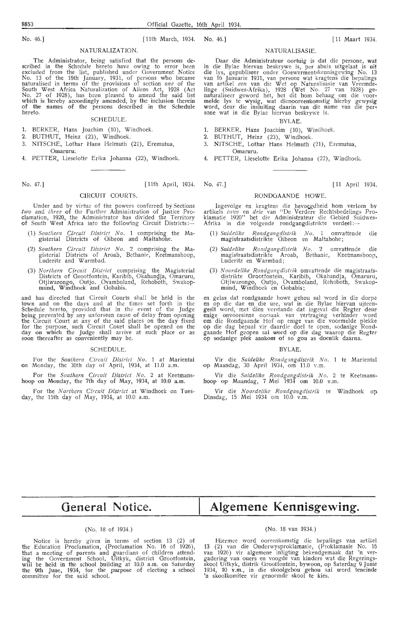No. 46.] [ 11th March, 1934. No. 46.] [ 11 Maart 1934. [ 11 Maart 1934.

#### **NATURALIZATION.**

The Administrator, being satisfied that the persons described in the Schedule hereto have owing *to* error been excluded from the list, published under Government Notice No. 13 of the 16th January, 1931, of persons who became naturalised in t erms of the provisions of section *one* of the South West Africa Naturalization of Aliens Act, 1928 (Act **No.** 27 of 1928), has been pleased to amend the said lisf which is hereby acoordingly amended, by the inclusion therein of the names of the persons described in the Schedule hereto.

#### SCHEDULE.

- 1. BERKER, Hans Joachim (10), Windhoek.
- 2. BUTHUT, Heinz (23), Windhoek.
- 3. NITSCHE, Lothar Hans Helmuth (21), Eremutua, **Omaruru;**
- 4. PETTER, Lieselotte Erika Johanna (22), Windhoek.

#### No. 47.] [11th April, 1934. No. 47.] [11 April 1934. [11 April 1934.

Under and by virtue of the powers conferred by Sections *tw'o* and *three* of the Further Administration of Justice Proclamation, 1920, the Administrator has divided the Territory of South West Africa into the following Circuit Districts:—

CIRCUIT COURTS.

- ( 1) *Southern Circuit District No .* 1 comprising the Ma-gisterial Districts of Gibeon and Maltahoh·e.
- (2) *Southem Circuit District No.* 2 comprising the **Ma**gisterial Districts of Aroab, Bethanie, Keetmanshoop, Luderitz and Warmbad.
- (3) *Northern Circuit District* comprising the Magisterial Districts of Grootfontein, Karibib, Okahangja, Omaruru, Otjiwarongo, Outjo. Ovamboland, Rehoboth, Swakopmund, Windhoek and Gobabis.

and has directed that Circuit Courts shall be held in the town and on the days and at the times set forth in the Schedule hereto, provided that in the event of the Judge being prevented by any unforseen cause of delay from opening the Circuit Court at any of the said places on the day fixed for the purpose, such Circuit Court shall be opened on the day on which the Judge shall arrive at such place or as<br>soon thereafter as conveniently may be.

#### SCHEDULE.

For the *Southern Circuit District No.* 1 at Mariental on Monday, the 30th day of April, 1934, at 11.0 a.m.

For the Southern Circuit District No. 2 at Keetmanshoop on Monday, the 7th day of May, 1934, at 10.0 a.m.

For the *Northern Circuit District* at Windhoek on Tuesday, the 15th day of May, 1934, at  $10.0\,$  a.m.

#### NATURALISASIE.

Daar die Administrateur oortuig is dat die persone, wat in die Bylae hiervan beskrywe is, per abuis uitgelaat is uit<br>die lys, gepubliseer onder Goewermentskennisgewing No. 13<br>van 16 Januarie 1931, van persone wat kragtens die bepalings<br>van artikel *een* van die Wet op Naturalis linge (SuidWes-Afrika ), 1928 (Wet No. 27 van 1928) genaturaliseer geword het, het dit hom behaag om die voor-<br>melde lys te wysig, wat dienooreenkomstig hierby gewysig word, deur die insluiting daarin van die name van die per-<br>sone wat in die Bylae hiervan beskrywe is.

#### BYLAE.

- 1. BERKER, Hans Joachim (10), Windhoek.
- 2. BUTHUT, Heinz (23), Windhoek.
- 3. NITSCHE, Lothar Hans Helmuth (21), Eremutua, Omaruru.
- 4. PETTER, Lieselotte Erika Johanna (22), Windhoek.

#### RONDGAANDE HOWE.

Ingevolge en kragtens die bevoegdheid hom verleen bv artikels *twee* en *drie* van "De Verdere Rechtsbedelings Proklamatie 1920" het die Administrateur die Oebied Suidwes-Afrika in die volgende rondgangdistrikte verdeel :-

- (1) Suidelike Rondgangdistrik No. 1 omvattende die magistraatsdistrikte Gibeon en Maltahohe;
- (2) *Suidelike Rondga,ngdistrik No.* 2 omvattende die magistraatsdistrikte Aroab, Bethanie, Keetmansboop, magistraatsdistrikte A<br>Luderitz en Warmbad;
- (3) Noordelike Rondgangdistrik omvattende die magistraatsdistrikte Grootfontein, Karibib, Okahandja, Omaruru, Otjiwarongo, Outjo, Ovamboland, Rehoboth, Swakopmund, Windhoek en Gobabis;

en gelas dat rondgaande howe gehou sal word in die dorpe en op die dae en die ure, wat in die Bylae hiervan uiteengesit word, met dien verstande dat ingeval die Regter deur enige onvoorsiene oorsaak van vertraging verhinder word<br>om die Rondgaande Hof op enige van die voormelde plekke op die dag bepaal vir daardie doel te open, sodanige Rondgaande Hof geopen sal word op die dag waarop die Regter op sodanige plek aankom' of so gou as doenlik daarna,

#### BYLAE.

Vir die *Suidelike Ro.ndgangdistrik No.* 1 te MarientaI op Maandag, 30 April 1934, om 11.0 Y.m.

Vir die *Suidelike Rondga,ngdistrik No.* 2 te Keetmanshoop op Maandag, 7 Mei  $\overline{1934}$  om 10.0 v.m.

Vir die Noordelike Rondgangdistrik te Windhoek op. Dinsdag, 15 Mei 1934 om 10.0 v.m.

## **General Notice.**

# **Algemene Kennisgewing.**

#### (No. 18 of 1934.)

Notice is hereby given in terms of section 13 (2) of the Education Proclamation, (Proclamation No. 16 of 1926), that a meeting of parents and guardians of children attending the Government School, Uitkyk, district Grootfontein,<br>will be held in the school building at 10.0 a.m. on Saturday the 9th June, 1934, for the pur:pose of electing a school committee for the said school.

#### (No. 18 van 1934.)

Hiermee word ooreenkomstig die bepalings van artikel 13 (2) van die Onderwysproklamasie, (Proklamasie No. 16 van 1926) vir algemene inligting bekendgemaak dat 'n ver-<br>gadering van ouers en voogde van kinders wat die Regeringsskool Uitkyk, distrik Grootfontein, bywoon, op Saterdag 9 Junie<br>1934, 10 v.m., in die skoolgebou gehou sal word teneinde<br>'n skoolkomitee vir genoemde skool te kies.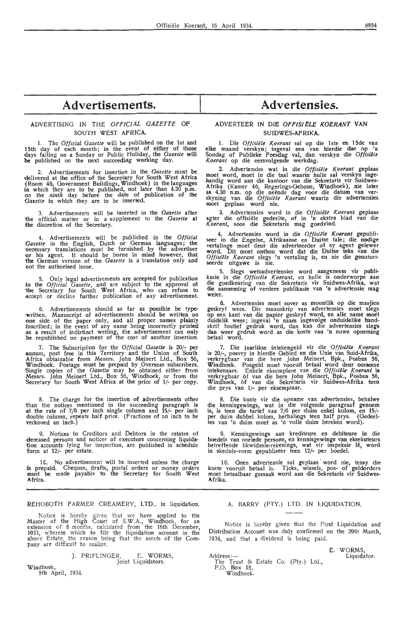#### ADVERTISING IN THE OFFICIAL GAZETTE OF SOUTH WEST AFRICA.

1. The *Official Gazette* will be published on the 1st and **15th** day of each month; in the event of either of those days falling on a Sunday or Public Holiday, the *Gazette* **will be** published on the next succeeding working day.

2. Advertisements for insertion in the *Gazette* must be delivered at the office of the Secretary for South West Africa (Room 46, Government Buildings, Windhoek) in the languages in which they are to be published, not later than 4.30 p.m. on the *ninth* day before the date of publication of the *Qazette* in which they are to be inserted.

3. Advertisements will be inserted in the *Gazette* **after.**  the official matter or in a supplement to the *Gazette* at the discretion of the Secretary.

4. Advertisements will be published in the *Official 1 Qazette* in the English, Dutch or German languages; the necessary translations must be furnished by the advertiser <0r his agent. It should be borne in mind however, that the German version of the *Gazette* is a translation only and not the authorised issue.

5. Only legal advertisements are accepted for publication in the *Official Gazette*, and are subject to the approval of the Secretary for South West Africa, who can refuse to .accept or decline further publication of any advertisement.

6. Advertisements should as far as possible be typewritten. Manuscript or advertisements should be paper only, and all proper names plainly inscribed; in the event of any name being incorrectly printed inscribed; in the event of any name being incorrectly **printed** .as a result of indistinct writing, the advertisement can only be republished on payment of the cost of another insertion.

7. The Subscription for the *Official Gazette* is 20/- per .annum, post free in this Territory and the Union of South .Africa obtainable from Messrs. John Meinert Ltd., Box 56, Windhoek. Postage must be prepaid by .Overseas subscribers. Single copies of the *Gazette* may be obtained either from Messrs. John Meinert Ltd., Box 56, Windhoek, or from the :Secretary for South West **Africa** at the price of 1/- per copy.

8. The charge for the insertion of advertisements other than the notices mentioned in the succeeding paragraph is at the rate of 7/6 per inch single column and 15/- per inch double column, repeats half price. (Fractions of an inch to be reckoned an inch.)

9. Notices to Creditors and Debtors in the estates of executors concerning liquidation accounts lying for inspection, are published in schedule form at 12/- per estate.

16. No advertisement will be inserted unless the charge is prepaid. Cheques, drafts, postal orders or money orders must be made payable to the Secretary for South West Africa.

#### REHOBOTH FARMER CREAMERY, LTD., in liquidation

Notice is hereby given that we have applied to the Master of the High Court of S.W.A., Windhoek, for an extension of 8 months, calculated from the 16th December, 1933, wherein which to file the liquidation account in the above Estate, the reason being that the assets of th

> J. PRIFLINGER, E. WORMS Joint Liquidators.

Windhoek,

5th April, 1934.

## Advertisements. Advertensies.

#### ADVERTEER IN DIE OFFISIËLE KOERANT VAN SUIDWES-AFRIKA.

1. Die *Offisiële Koerant* sal op die 1ste en 15de van **clke** maand verskyn; ingeval een van hierdie dae op 'n. Sondag of Publieke Feesdag val, dan verskyn die *Offisiële K.oerant* op die eersvolgende werkdag.

2. Advertensies wat in die *Offisiële Koerant* geplaas.<br>moet word, moet in die taal waarin hulle sal verskyn ingehandig word aan die kantoor van die Sekretaris vir Suidwes-Afrika (Kamer 46, Regerings-Geboue, Windhoek), nie later as 4.30 n.m. op die neënde dag voor die datum van verskyning van die Offisiële Koerant waarin die adverten

3. Advertensies word in die Offisiële Koerant geplaas agter die offisiële gedeelte, of in 'n ekstra blad van die *Koerant*, soos die Sekretaris mag goedvind.

4. Advertensies word in die Offisiële Koerant gepubli-<br>seer in die Engelse, Afrikaanse en Duitse tale; die nodige vertalinge moet deur die adverteerder of sy agent gelewer word. Dit moet onthou word dat die Duitse teks van die Offisiële Koerant slegs 'n vertaling is, en nie die geoutoriseerde uitgawe is nie.

5. Slegs wetsadv-ertensies word aangeneem vir publi- kasie in die *Otfisiele Koerant,* en hulle is onderworpe aan die goedkeuring van die Sekretaris vir Suidwes-Afrika, wal: die aanneming of verdere publikasie van 'n advertensie magweier.

6. Advertensies moet sover as moontlik op die masjiea, geskryf wees. Die manuskrip van advertensies moet slegs op een kant van die papier geskryf word, en ane name moet duidelik wees; ingeval 'n naam ingevolge onduidelike hand-<br>skrif foutief gedruk word, dan kan die advertensies slegs.<br>dan weer gedruk word as die koste van 'n nuwe opneming<br>betaal word.

7. Die jaarlikse intekengeld vir die Offisiële Koerant is 20/-, posvry in hierdie Gebied en die Unie van Suid-Afrika, verkrygbaar van die here John Meinert, Bpk., Posbus 56, Windhoek. Posgeld moet vooruit betaal word deur oorseese intekenaars. Enkele eksemplare van die *Offisiële Koerant* is verkrygbaar of van die here John Meinert, Bpk., Posbus 56, Windhoek, of van die Sekretaris vir Suidwes-Afrika teen die prys van 1/- per eksemplaar.

8. Die koste vir die opname van advertensies, behalwe die kennisgewings, wat in die volgende paragraaf genoem is, is teen die tarief van 7/6 per duim enkel kolom, en 15/ per duim dubbel. kolom, herhalkigs teen half prys. (Gedeel-tes van 'n duim moet as 'n voile duim . bereken word).

9. Kennisgewings aan krediteure en debiteure in die boedels van oorlede persone, en kennisgewings van eksekuteurs. betreffende likwidasie-rekenings, wat vir inspeksie le, word in skedule-vorm gepubliseer teen **12/-** per boedel.

10. Geen advertensie sal geplaas word nie, tensy die koste vooruit betaal is. Tjeks, wissels, pos- of geldorders.<br>moet betaalbaar gemaak word aan die Sekretaris vir Suidwes-<br>Afrika.

#### A. BARRY (PTY.) LTD. IN LIQUIDATION.

Notice is hereby given that the First Liquidation and Distribution Account was duly confirmed on the 29th March 1934, and that a dividend is being paid.

Address The Trust & Estate Co. (Pty.) Ltd.<br>P.O. Box 18,

Windhoek.

E. WORMS,<br>Liquidator.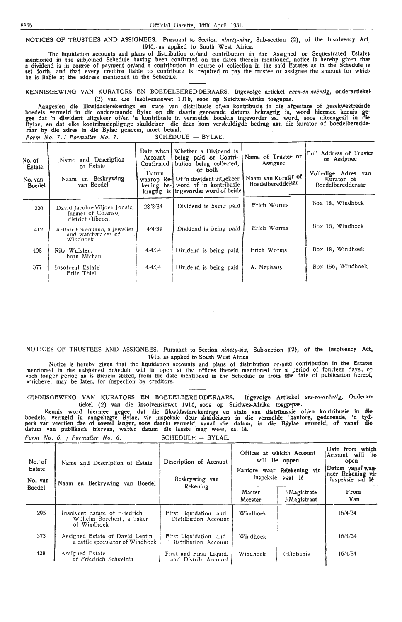NOTICES OF TRUSTEES AND ASSIGNEES. Pursuant to Section *ninety-nine,* Sub-section {2), of the Insolvency Act, 1916, as applied to South West Africa.

The liquidation accounts and plans of distribution or/and contribution. in the Assigned or Sequestrated Estate• mentioned in the subjeined Schedule having been confirmed on the dates therein mentioned, notice is hereby given that **a** dividend is in course of (ilayment or/and a contribution in course of collection in the said Estates as in the Schedule is set forth, and that every creditor liable to contribute is required to pay the trustee or assignee the amount for whicbhe is liable at the address mentioned in the Schedule.

KENNISGEWING VAN KURATORS EN BOEDELBEREDDERAARS. Ingevolge artiekel neën-en-neëntig, onderartiekel (2) van die Insolvensiewet 1916, soos op Suidwes-Afrika toegepas.

Aangesien die likwidasierekenings en state van distribusie of/en kontribusie in die afgestane of gesekwestreerde boedels vermeld in die onderstaande Bylae op die daarin genoemde datums bekragtig is, word hiermee kennis ge-<br>gee dat 'n diwident uitgekeer of/en 'n kontribusie in vermelde boedels ingevorder sal word, soos uiteengesit in Bylae, en dat elke kontribusiepligtige skuldeiser die deur hom verskuldigde bedrag aan die kurator of boedelberedde<br>raar by die adres in die Bylae genoem, moet betaal.  $Form No. 7. / Formulier No. 7.$  SCHEDULE - BYLAE.

| No. of<br>Estate<br>No. van<br><b>Boedel</b> | Name and Description<br>of Estate<br>Naam en Beskrywing<br>van Boedel   | Date when I<br>Account<br>Confirmed 1<br>Datum<br>waarop Re-I<br>kening be-<br>kragtig | Whether a Dividend is<br>being paid or Contri-<br>bution being collected,<br>or both<br>Of 'n diwident uitgekeer<br>word of 'n kontribusie<br>is ingevorder word of beide | Name of Trustee or<br>Assignee<br>Naam van Kurater of<br>Boedelbereddejaar | Full Address of Trustee<br>or Assignee<br>Volledige Adres<br>van<br>Kurator of<br>Boedelberedderaar |
|----------------------------------------------|-------------------------------------------------------------------------|----------------------------------------------------------------------------------------|---------------------------------------------------------------------------------------------------------------------------------------------------------------------------|----------------------------------------------------------------------------|-----------------------------------------------------------------------------------------------------|
| 220                                          | David Jacobus Viljoen Jooste,<br>farmer of Colenso,<br>district Gibeon. | 28/3/34                                                                                | Dividend is being paid                                                                                                                                                    | Erich Worms                                                                | Box 18, Windhoek                                                                                    |
| 412                                          | Arthur Eckelmann, a jeweller<br>and watchmaker of<br>Windhoek           | 4/4/34                                                                                 | Dividend is being paid                                                                                                                                                    | Erich Worms                                                                | Box 18, Windhoek                                                                                    |
| 438                                          | Rita Wuister,<br>born Michau                                            | 4/4/34                                                                                 | Dividend is being paid                                                                                                                                                    | Erich Worms                                                                | Box 18, Windhoek                                                                                    |
| 377                                          | Insolvent Estate<br>Fritz Thiel                                         | 4/4/34                                                                                 | Dividend is being paid                                                                                                                                                    | A. Neuhaus                                                                 | Box 156, Windhoek                                                                                   |

NOTICES OF TRUSTEES AND ASSIGNEES. Pursuant to Section *ninety-six*, Sub-section ((2), of the Insolvency Act, 1916, as applied to South West Africa.

Notice is hereby given that the liquidation accounts and plans of distribution or/and contribution in the Estates mentioned in the subjoined Schedule **will** lie open at the offices therein mentioned for a1 period of fourteen days, 01> such longer period as is therein stated, from the date mentioned in the Schedune or from the date of publication hereof, whichever may be later, for inspection by creditors.

KENNISGEWING VAN KURATORS EN BOEDELBERE DDERAARS. Ingevolge Artitekel ses-en-neëntig, Onderartiekel (2) van die Insolvensiewet 1916, soos op Suidwes-Afrika toeggepas.

Kennis word hiermee gegee, dat die likwidasiere.kenings en state van distribussie of/en kontribusie in die boedels, vermeld in aangehegte Bylae, vir inspeksie deur skuldeisers in die vermelde kantore, gedurende, 'n tyd∼<br>perk van veertien dae of soveel langer, soos daarin vermeld, vanaf die datum, in die Bÿylae vermeld, of vana datum van publikasie hiervan, watter datum die laaste mag wees, sal lê. Form No. 6.  $/$  Formulier No. 6.  $\sim$  S

| SCHEDULE<br>BYLAE.<br>$-$ |  |
|---------------------------|--|
|---------------------------|--|

| No. of<br>Estate<br>No. van | Name and Description of Estate<br>Naam en Beskrywing van<br>Boedel        | Description of Account<br>Beskrywing van        | Offices at whichh Account<br>will lie oppen<br>Kantore waar Reekening vir<br>inspeksie ssal lê | Date from which<br>Account will lie<br>open<br>Datum vanaf wan-<br>neer Rekening vir<br>inspeksie sal le |             |
|-----------------------------|---------------------------------------------------------------------------|-------------------------------------------------|------------------------------------------------------------------------------------------------|----------------------------------------------------------------------------------------------------------|-------------|
| Boedel.                     |                                                                           | Rekening                                        | Master<br>Meester                                                                              | Magistrate<br>Magistraat                                                                                 | From<br>Van |
| 295                         | Insolvent Estate of Friedrich<br>Wilhelm Borchert, a baker<br>of Windhoek | First Liquidation and<br>Distribution Account   | Windhoek                                                                                       |                                                                                                          | 16/4/34     |
| 373                         | Assigned Estate of David Lentin,<br>a cattle speculator of Windhoek       | First Liquidation and<br>Distribution Account   | Windhoek                                                                                       |                                                                                                          | 16/4/34     |
| 428                         | Assigned Estate<br>of Friedrich Schuelein                                 | First and Final Liquid.<br>and Distrib. Account | Windhoek                                                                                       | <b>C</b> Gobabis                                                                                         | 16/4/34     |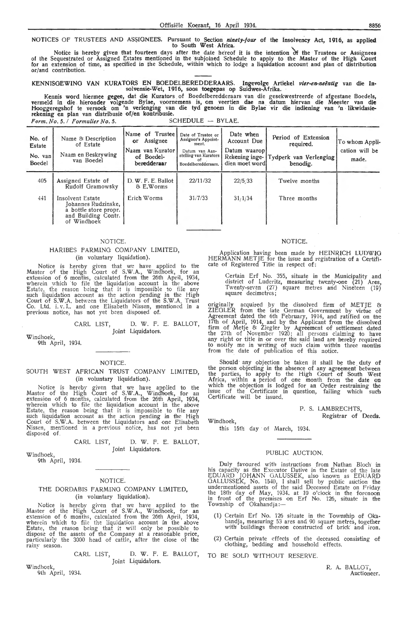#### NOTICES OF TRUSTEES AND ASSIGNEES. Pursuant to Section *ninety-four* of the insolvency Act, 1916, as applied to South West Africa.

Notice is hereby given that fourteen days after the date hereof it is the intention of the Trustees or Assignees<br>of the Sequestrated or Assigned Estates mentioned in the subjoined Schedule to apply to the Master of the Hig for an extension of time, as specified in the Schedule, within which to lodge a liquidation account and plan of distribution<br>or/and contribution.

#### KENNISGEWING VAN KURATORS EN BOEDELBEREDDERAARS. lngevolge Artiekel *vier-ea-neentig* van die Insolvensie-Wet, 1916, soos toegcpas op Suidwes-Afrika.

Kennis word hiermee gegee, dat die Kurators of Boedelberedderaars van die gesekwestreerde of afgestane Boedels,<br>vermeld in die hieronder volgende Bylae, voornemens is, om veertien dae na datum hiervan die Meester van die Hooggeregshof te versoek om 'n verlenging van die tyd genoem in die Bylae vir die indiening van 'n likwidasierekening en plan van distribusie of/en kontribusie. *Form. No. 5. I Formulier No. 5.* SCHEDULE - BYLAE.

| No. of<br>Estate<br>No. van<br><b>Boedel</b> | Name & Description<br>of Estate<br>Naam en Beskrywing<br>van Boedel                                    | Name of Trusteel<br>Assignee<br>or<br>Naam van Kurator  <br>of Boedel-<br>beredderaar | Date of Trustee or<br>Assignee's Appoint-<br>ment.<br>Datum van Aan-<br>stelling van Kurators<br>-ot<br>Boedelberedderaars. | Date when<br>Account Due<br>Datum waarop<br>Rekening inge-<br>dien moet wordl | Period of Extension<br>required.<br>Tydperk van Verlenging<br>benodig. | To whom Appli-<br>cation will be<br>made. |
|----------------------------------------------|--------------------------------------------------------------------------------------------------------|---------------------------------------------------------------------------------------|-----------------------------------------------------------------------------------------------------------------------------|-------------------------------------------------------------------------------|------------------------------------------------------------------------|-------------------------------------------|
| 405                                          | Assigned Estate of<br>Rudolf Gramowsky                                                                 | D. W. F. E. Ballot<br>& E.Worms                                                       | 22/11/32                                                                                                                    | 22/5/33                                                                       | Twelve months                                                          |                                           |
| 441                                          | Insolvent Estate<br>Johannes Rudzinske,<br>a bottle store propr.<br>and Building Contr.<br>of Windhoek | Erich Worms                                                                           | 31/7/33                                                                                                                     | 31/1/34                                                                       | Three months                                                           |                                           |
|                                              |                                                                                                        |                                                                                       |                                                                                                                             |                                                                               |                                                                        |                                           |

#### NOTICE.

#### HARIBES FARMlNG COMPANY LIMITED, (in voluntary liquidation).

Notice is hereby given that we have applied to the Master of the High Court of S.W.A., Windhoek, for an extension of 6 months, calculated from the 26th April, 1934, wherein which to file the liquidation account in the above **E**state, the reason being that it is impossible to file any such liquidation account as the action pending in the High<br>Court of S.W.A. between the Liquidators of the S.W.A. Trust Co. Ltd. i. v. L. and one Elisabeth Nissen, mentioned in a previous notice, has not yet been disposed of.

#### CARL LIST, D. W. F. E. BALLOT, Joint Liquidators.

Windhoek, 9th April, 1934.

#### NOTICE.

#### SOUTH WEST AFRICAN TRUST COMPANY LIMITED, (in voluntary liquidation).

Notice is hereby given that we have applied to the Master of the High Court of S.W.A., Windhoek, for an extension of 6 months, calculated from the 26th April, 1934, wherein which to file the liquidation account in the above<br>Estate, the reason being that it is impossible to file any such liquidation account as the action pending in the High Court of S.W .A. between the Liquidators and one Elisabeth Nissen, mentioned in a-previous notice, has not yet been<br>disposed of

> CARL LIST, D. W. F. E. BALLOT. Joint Liquidators.

Windhoek, 9th April, 1934.

## NOTICE.

#### THE DORDABIS FARMING COMPANY LIMITED, (in voluntary liquidation).

Notice is hereby giYen that we have applied to the Master of the High Court of S.W.A., Windhoek, for an extension of 6 months, calculated from the 26th April, 1934, wherein which to file the liquidation account in the above Estate, the reason being that it will only be possible to dispose of the assets of the Company at a reasonable price, particularly the 3000 head of cattle, after the close of the rainy season.

> CARL LIST, D. W. F. E. BALLOT, Joint Liquidators.

Windhoek,

9th April, 1934.

#### NOTICE.

Application having been made by HEINRICH LUDWIG HERMANN METJE for the issue and registration of a Certificate of Registered Title in respect of:

Certain Erf No. 355, situate in the Municipality and district of Luderitz, measuring twenty-one  $(21)$  Ares. Twenty-seven (27) square metres and Nineteen (19) square decimetres;

originally acquired \_by the dissolved firm of METJE *e.*  ZIEGLER from the late German Government by virtue of<br>Agreement dated the 6th February, 1914, and ratified on the 17th of April, 1914, and by the Applicant from the dissolved firm of Metje & Ziegler by Agreement of settlement dated the 27th of November 1920; all persons claiming to have any right or title in or over the said land are hereby required *to* notify me in writing of such claim within three months from the date of publication of this notice.

Should any objection be taken it shall be the duty of the person objecting in the absence of any agreement between the parties, to apply to the High Court of South West Africa, within a period of one month from the date on which the objection is lodged for an Order restraining the issue of the Certificate in question, failing which such Certificate will be issued.

#### P. S. LAMBRECHTS, Registrar of Deeds.

Windhoek,

this 15th day of March, 1934.

#### PUBLIC AUCTION.

Duly favoured with instructions from Nathan Bloch in his capacity as the Executor Dative in the Estate of the late EDUARD JOHANN OALUSSEK, also known as EDUARD GALLUSSEK, No. 1540, I shall sell by public auction the undermentioned assets of the said Deceased Estate on Friday<br>the 18th day of May, 1934, at 10 o'clock in the forenoon<br>in front of the premises on Erf No. 126, situate in the Township of Okahandja:-

- (1) Certain Erf No. 126 situate in the Township of Okahandja, measuring 53 ares and 90 square metres, together with buildings thereon constructed of brick and iron.
- (2) Certain private effects of the deceased consisting of clothing, bedding and household effects.
- TO BE SOLD WITHOUT RESERVE.

R. A. BALLOT, Auctioneer.